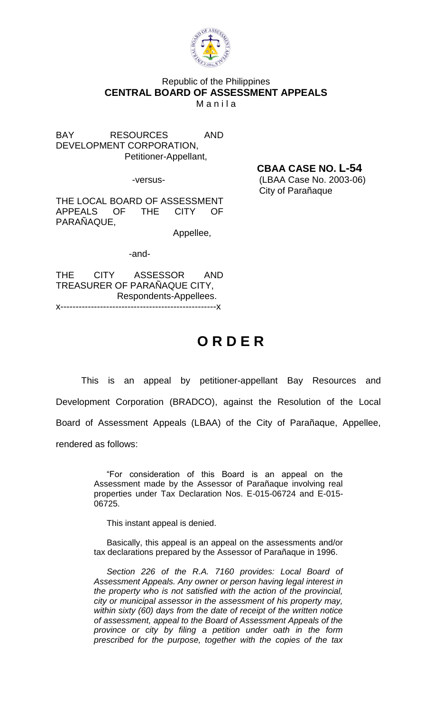

## Republic of the Philippines **CENTRAL BOARD OF ASSESSMENT APPEALS Manila**

BAY RESOURCES AND DEVELOPMENT CORPORATION, Petitioner-Appellant,

THE LOCAL BOARD OF ASSESSMENT APPEALS OF THE CITY OF PARAÑAQUE,

Appellee,

-and-

THE CITY ASSESSOR AND TREASURER OF PARAÑAQUE CITY, Respondents-Appellees. x---------------------------------------------------x

## **O R D E R**

This is an appeal by petitioner-appellant Bay Resources and Development Corporation (BRADCO), against the Resolution of the Local Board of Assessment Appeals (LBAA) of the City of Parañaque, Appellee, rendered as follows:

> "For consideration of this Board is an appeal on the Assessment made by the Assessor of Parañaque involving real properties under Tax Declaration Nos. E-015-06724 and E-015- 06725.

This instant appeal is denied.

Basically, this appeal is an appeal on the assessments and/or tax declarations prepared by the Assessor of Parañaque in 1996.

*Section 226 of the R.A. 7160 provides: Local Board of Assessment Appeals. Any owner or person having legal interest in the property who is not satisfied with the action of the provincial, city or municipal assessor in the assessment of his property may, within sixty (60) days from the date of receipt of the written notice of assessment, appeal to the Board of Assessment Appeals of the province or city by filing a petition under oath in the form prescribed for the purpose, together with the copies of the tax*

**CBAA CASE NO. L-54**

-versus- (LBAA Case No. 2003-06) City of Parañaque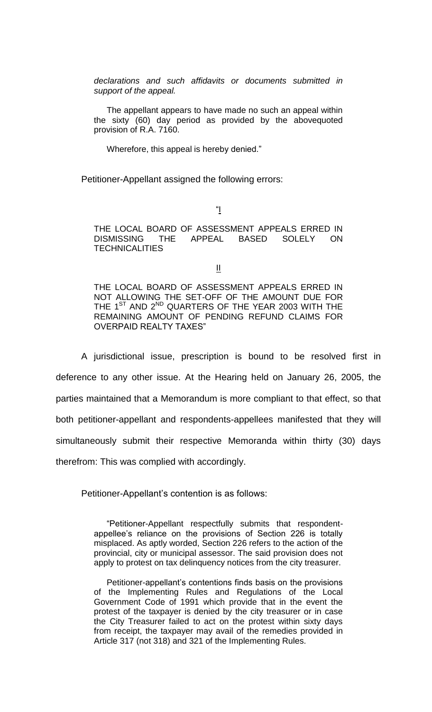*declarations and such affidavits or documents submitted in support of the appeal.*

The appellant appears to have made no such an appeal within the sixty (60) day period as provided by the abovequoted provision of R.A. 7160.

Wherefore, this appeal is hereby denied."

Petitioner-Appellant assigned the following errors:

"I

THE LOCAL BOARD OF ASSESSMENT APPEALS ERRED IN DISMISSING THE APPEAL BASED SOLELY ON **TECHNICALITIES** 

 $\mathbf{\underline{\mathsf{II}}}$ 

THE LOCAL BOARD OF ASSESSMENT APPEALS ERRED IN NOT ALLOWING THE SET-OFF OF THE AMOUNT DUE FOR THE 1<sup>ST</sup> AND 2<sup>ND</sup> QUARTERS OF THE YEAR 2003 WITH THE REMAINING AMOUNT OF PENDING REFUND CLAIMS FOR OVERPAID REALTY TAXES"

A jurisdictional issue, prescription is bound to be resolved first in deference to any other issue. At the Hearing held on January 26, 2005, the parties maintained that a Memorandum is more compliant to that effect, so that both petitioner-appellant and respondents-appellees manifested that they will simultaneously submit their respective Memoranda within thirty (30) days therefrom: This was complied with accordingly.

Petitioner-Appellant's contention is as follows:

"Petitioner-Appellant respectfully submits that respondentappellee's reliance on the provisions of Section 226 is totally misplaced. As aptly worded, Section 226 refers to the action of the provincial, city or municipal assessor. The said provision does not apply to protest on tax delinquency notices from the city treasurer.

Petitioner-appellant's contentions finds basis on the provisions of the Implementing Rules and Regulations of the Local Government Code of 1991 which provide that in the event the protest of the taxpayer is denied by the city treasurer or in case the City Treasurer failed to act on the protest within sixty days from receipt, the taxpayer may avail of the remedies provided in Article 317 (not 318) and 321 of the Implementing Rules.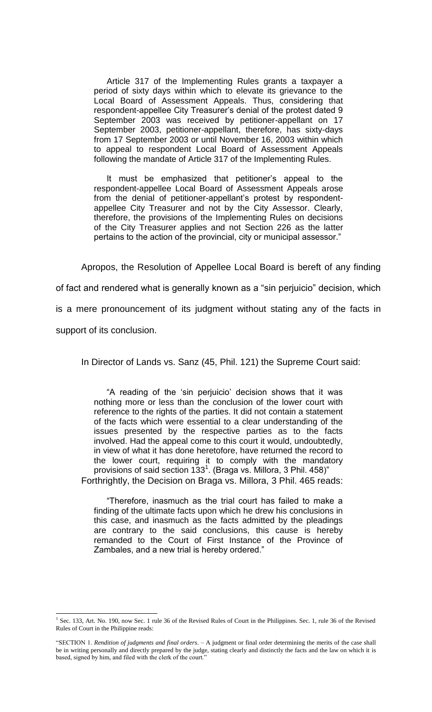Article 317 of the Implementing Rules grants a taxpayer a period of sixty days within which to elevate its grievance to the Local Board of Assessment Appeals. Thus, considering that respondent-appellee City Treasurer's denial of the protest dated 9 September 2003 was received by petitioner-appellant on 17 September 2003, petitioner-appellant, therefore, has sixty-days from 17 September 2003 or until November 16, 2003 within which to appeal to respondent Local Board of Assessment Appeals following the mandate of Article 317 of the Implementing Rules.

It must be emphasized that petitioner's appeal to the respondent-appellee Local Board of Assessment Appeals arose from the denial of petitioner-appellant's protest by respondentappellee City Treasurer and not by the City Assessor. Clearly, therefore, the provisions of the Implementing Rules on decisions of the City Treasurer applies and not Section 226 as the latter pertains to the action of the provincial, city or municipal assessor."

Apropos, the Resolution of Appellee Local Board is bereft of any finding

of fact and rendered what is generally known as a "sin perjuicio" decision, which

is a mere pronouncement of its judgment without stating any of the facts in

support of its conclusion.

In Director of Lands vs. Sanz (45, Phil. 121) the Supreme Court said:

"A reading of the 'sin perjuicio' decision shows that it was nothing more or less than the conclusion of the lower court with reference to the rights of the parties. It did not contain a statement of the facts which were essential to a clear understanding of the issues presented by the respective parties as to the facts involved. Had the appeal come to this court it would, undoubtedly, in view of what it has done heretofore, have returned the record to the lower court, requiring it to comply with the mandatory provisions of said section 133<sup>1</sup>. (Braga vs. Millora, 3 Phil. 458)" Forthrightly, the Decision on Braga vs. Millora, 3 Phil. 465 reads:

"Therefore, inasmuch as the trial court has failed to make a finding of the ultimate facts upon which he drew his conclusions in this case, and inasmuch as the facts admitted by the pleadings are contrary to the said conclusions, this cause is hereby remanded to the Court of First Instance of the Province of Zambales, and a new trial is hereby ordered."

 $\overline{a}$ <sup>1</sup> Sec. 133, Art. No. 190, now Sec. 1 rule 36 of the Revised Rules of Court in the Philippines. Sec. 1, rule 36 of the Revised Rules of Court in the Philippine reads:

<sup>&</sup>quot;SECTION 1. *Rendition of judgments and final orders*. – A judgment or final order determining the merits of the case shall be in writing personally and directly prepared by the judge, stating clearly and distinctly the facts and the law on which it is based, signed by him, and filed with the clerk of the court.'